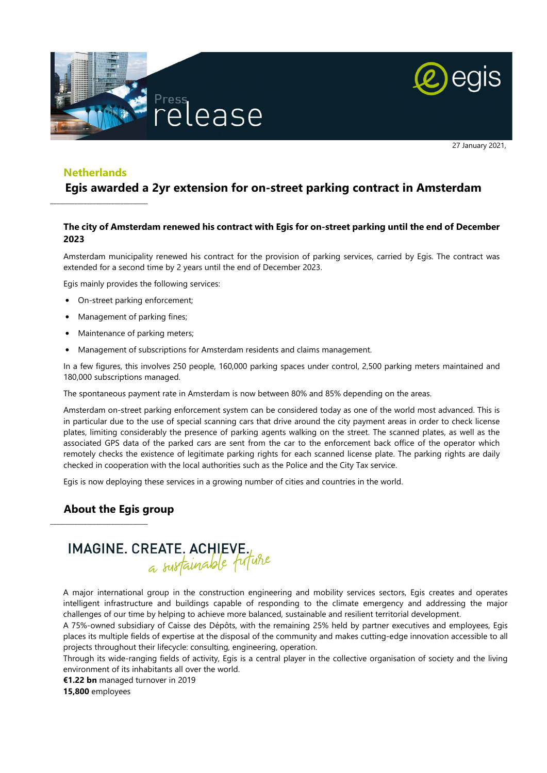



27 January 2021,

## **Netherlands**

 $\_$ 

# **Egis awarded a 2yr extension for on-street parking contract in Amsterdam**

### **The city of Amsterdam renewed his contract with Egis for on-street parking until the end of December 2023**

Amsterdam municipality renewed his contract for the provision of parking services, carried by Egis. The contract was extended for a second time by 2 years until the end of December 2023.

Egis mainly provides the following services:

- On-street parking enforcement;
- Management of parking fines;
- Maintenance of parking meters;
- Management of subscriptions for Amsterdam residents and claims management.

In a few figures, this involves 250 people, 160,000 parking spaces under control, 2,500 parking meters maintained and 180,000 subscriptions managed.

The spontaneous payment rate in Amsterdam is now between 80% and 85% depending on the areas.

Amsterdam on-street parking enforcement system can be considered today as one of the world most advanced. This is in particular due to the use of special scanning cars that drive around the city payment areas in order to check license plates, limiting considerably the presence of parking agents walking on the street. The scanned plates, as well as the associated GPS data of the parked cars are sent from the car to the enforcement back office of the operator which remotely checks the existence of legitimate parking rights for each scanned license plate. The parking rights are daily checked in cooperation with the local authorities such as the Police and the City Tax service.

Egis is now deploying these services in a growing number of cities and countries in the world.

# **About the Egis group**

\_\_\_\_\_\_\_\_\_\_\_\_\_\_\_\_\_\_\_\_\_\_\_\_\_\_\_\_\_\_\_\_

# **IMAGINE. CREATE. ACHIEVE.**<br>a sustainable future

A major international group in the construction engineering and mobility services sectors, Egis creates and operates intelligent infrastructure and buildings capable of responding to the climate emergency and addressing the major challenges of our time by helping to achieve more balanced, sustainable and resilient territorial development.

A 75%-owned subsidiary of Caisse des Dépôts, with the remaining 25% held by partner executives and employees, Egis places its multiple fields of expertise at the disposal of the community and makes cutting-edge innovation accessible to all projects throughout their lifecycle: consulting, engineering, operation.

Through its wide-ranging fields of activity, Egis is a central player in the collective organisation of society and the living environment of its inhabitants all over the world.

**€1.22 bn** managed turnover in 2019

**15,800** employees